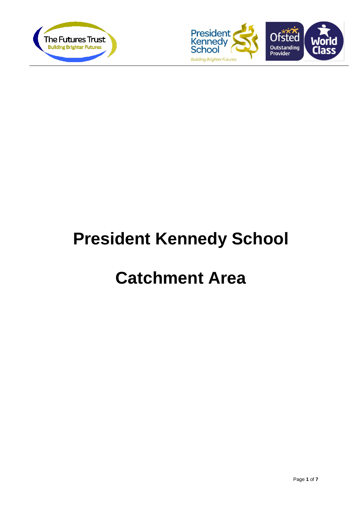



# **President Kennedy School**

## **Catchment Area**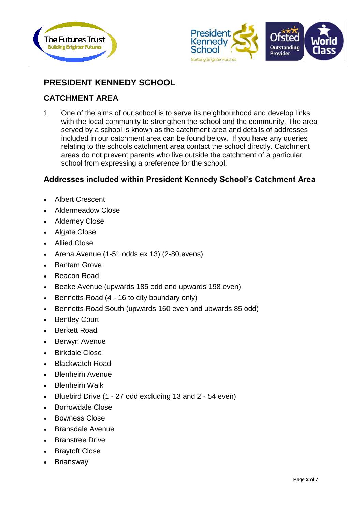



## **PRESIDENT KENNEDY SCHOOL**

### **CATCHMENT AREA**

1 One of the aims of our school is to serve its neighbourhood and develop links with the local community to strengthen the school and the community. The area served by a school is known as the catchment area and details of addresses included in our catchment area can be found below. If you have any queries relating to the schools catchment area contact the school directly. Catchment areas do not prevent parents who live outside the catchment of a particular school from expressing a preference for the school.

#### **Addresses included within President Kennedy School's Catchment Area**

- Albert Crescent
- Aldermeadow Close
- Alderney Close
- Algate Close
- Allied Close
- Arena Avenue (1-51 odds ex 13) (2-80 evens)
- Bantam Grove
- Beacon Road
- Beake Avenue (upwards 185 odd and upwards 198 even)
- Bennetts Road (4 16 to city boundary only)
- Bennetts Road South (upwards 160 even and upwards 85 odd)
- **Bentley Court**
- Berkett Road
- Berwyn Avenue
- Birkdale Close
- Blackwatch Road
- Blenheim Avenue
- Blenheim Walk
- Bluebird Drive (1 27 odd excluding 13 and 2 54 even)
- Borrowdale Close
- Bowness Close
- Bransdale Avenue
- Branstree Drive
- Braytoft Close
- **Briansway**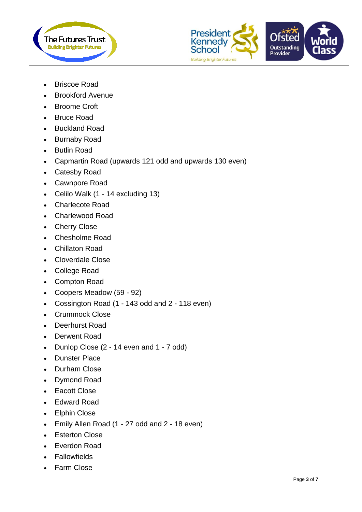



- Briscoe Road
- Brookford Avenue
- Broome Croft
- Bruce Road
- Buckland Road
- Burnaby Road
- Butlin Road
- Capmartin Road (upwards 121 odd and upwards 130 even)
- Catesby Road
- Cawnpore Road
- Celilo Walk (1 14 excluding 13)
- Charlecote Road
- Charlewood Road
- Cherry Close
- Chesholme Road
- Chillaton Road
- Cloverdale Close
- College Road
- Compton Road
- Coopers Meadow (59 92)
- Cossington Road (1 143 odd and 2 118 even)
- Crummock Close
- Deerhurst Road
- Derwent Road
- Dunlop Close (2 14 even and 1 7 odd)
- Dunster Place
- Durham Close
- Dymond Road
- Eacott Close
- Edward Road
- Elphin Close
- Emily Allen Road (1 27 odd and 2 18 even)
- Esterton Close
- Everdon Road
- Fallowfields
- Farm Close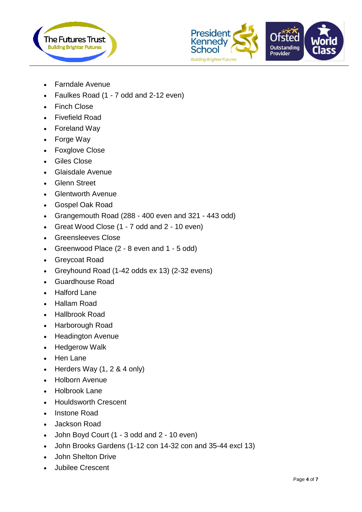



- Farndale Avenue
- Faulkes Road (1 7 odd and 2-12 even)
- Finch Close
- Fivefield Road
- Foreland Way
- Forge Way
- Foxglove Close
- Giles Close
- Glaisdale Avenue
- Glenn Street
- Glentworth Avenue
- Gospel Oak Road
- Grangemouth Road (288 400 even and 321 443 odd)
- Great Wood Close (1 7 odd and 2 10 even)
- Greensleeves Close
- Greenwood Place (2 8 even and 1 5 odd)
- Greycoat Road
- Greyhound Road (1-42 odds ex 13) (2-32 evens)
- Guardhouse Road
- Halford Lane
- Hallam Road
- Hallbrook Road
- Harborough Road
- Headington Avenue
- Hedgerow Walk
- Hen Lane
- Herders Way  $(1, 2, 8, 4)$  only)
- Holborn Avenue
- Holbrook Lane
- Houldsworth Crescent
- Instone Road
- Jackson Road
- John Boyd Court (1 3 odd and 2 10 even)
- John Brooks Gardens (1-12 con 14-32 con and 35-44 excl 13)
- John Shelton Drive
- Jubilee Crescent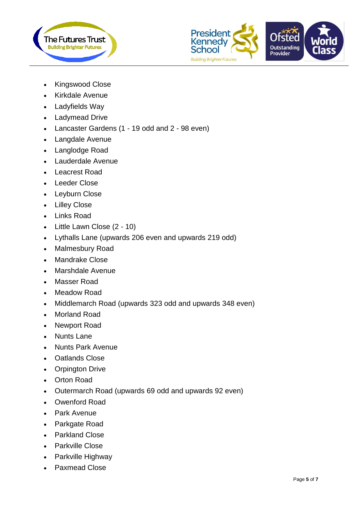



- Kingswood Close
- Kirkdale Avenue
- Ladyfields Way
- Ladymead Drive
- Lancaster Gardens (1 19 odd and 2 98 even)
- Langdale Avenue
- Langlodge Road
- Lauderdale Avenue
- Leacrest Road
- Leeder Close
- Leyburn Close
- Lilley Close
- Links Road
- Little Lawn Close (2 10)
- Lythalls Lane (upwards 206 even and upwards 219 odd)
- Malmesbury Road
- Mandrake Close
- Marshdale Avenue
- Masser Road
- Meadow Road
- Middlemarch Road (upwards 323 odd and upwards 348 even)
- Morland Road
- Newport Road
- Nunts Lane
- Nunts Park Avenue
- Oatlands Close
- Orpington Drive
- Orton Road
- Outermarch Road (upwards 69 odd and upwards 92 even)
- Owenford Road
- Park Avenue
- Parkgate Road
- Parkland Close
- Parkville Close
- Parkville Highway
- Paxmead Close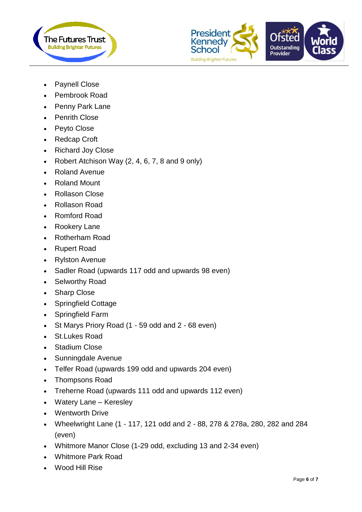



- Paynell Close
- Pembrook Road
- Penny Park Lane
- Penrith Close
- Peyto Close
- Redcap Croft
- Richard Joy Close
- Robert Atchison Way  $(2, 4, 6, 7, 8, 8)$  and 9 only)
- Roland Avenue
- Roland Mount
- Rollason Close
- Rollason Road
- Romford Road
- Rookery Lane
- Rotherham Road
- Rupert Road
- Rylston Avenue
- Sadler Road (upwards 117 odd and upwards 98 even)
- Selworthy Road
- Sharp Close
- Springfield Cottage
- Springfield Farm
- St Marys Priory Road (1 59 odd and 2 68 even)
- St.Lukes Road
- Stadium Close
- Sunningdale Avenue
- Telfer Road (upwards 199 odd and upwards 204 even)
- Thompsons Road
- Treherne Road (upwards 111 odd and upwards 112 even)
- Watery Lane Keresley
- Wentworth Drive
- Wheelwright Lane (1 117, 121 odd and 2 88, 278 & 278a, 280, 282 and 284 (even)
- Whitmore Manor Close (1-29 odd, excluding 13 and 2-34 even)
- Whitmore Park Road
- Wood Hill Rise